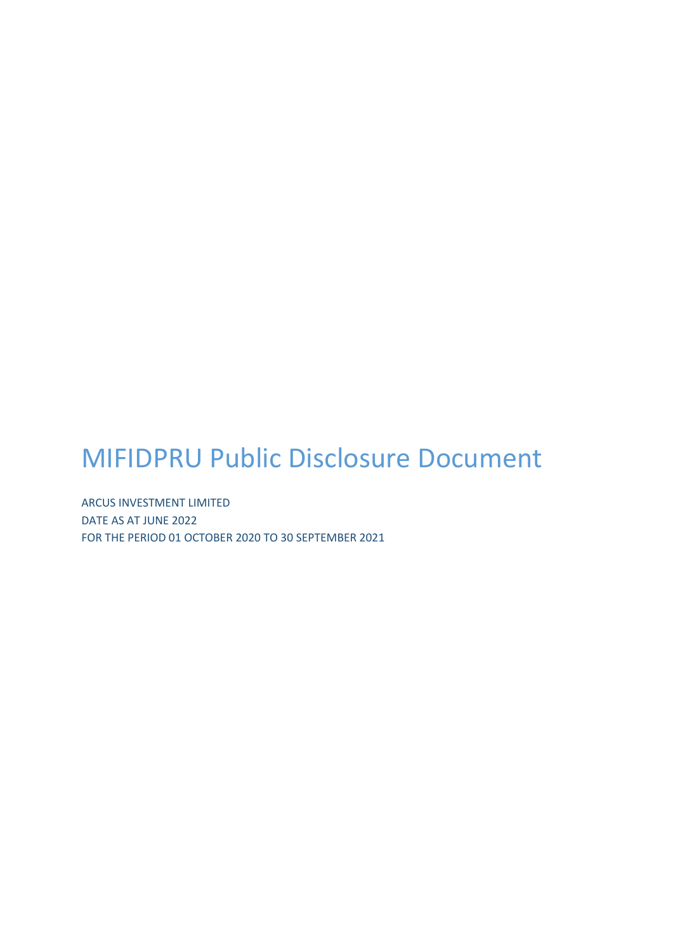## MIFIDPRU Public Disclosure Document

ARCUS INVESTMENT LIMITED DATE AS AT JUNE 2022 FOR THE PERIOD 01 OCTOBER 2020 TO 30 SEPTEMBER 2021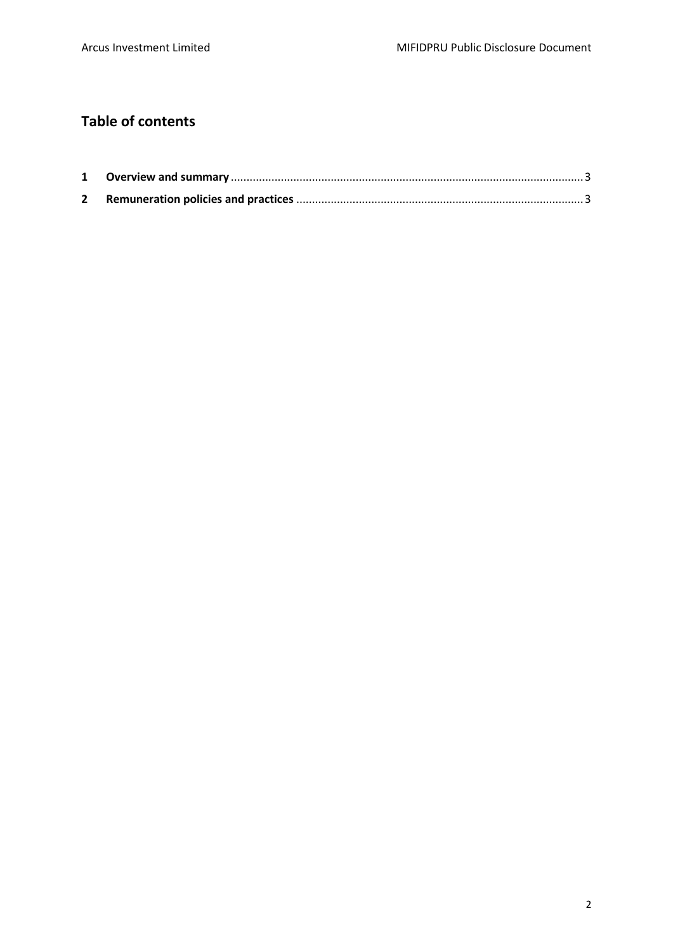## **Table of contents**